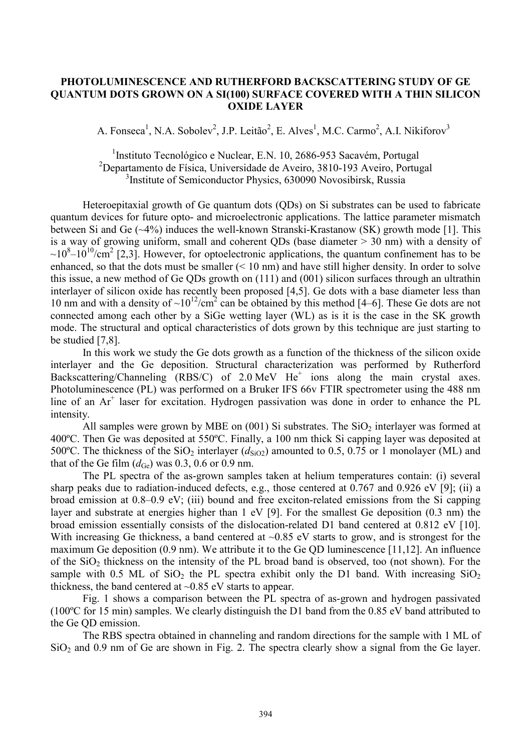## **PHOTOLUMINESCENCE AND RUTHERFORD BACKSCATTERING STUDY OF GE QUANTUM DOTS GROWN ON A SI(100) SURFACE COVERED WITH A THIN SILICON OXIDE LAYER**

A. Fonseca<sup>1</sup>, N.A. Sobolev<sup>2</sup>, J.P. Leitão<sup>2</sup>, E. Alves<sup>1</sup>, M.C. Carmo<sup>2</sup>, A.I. Nikiforov<sup>3</sup>

<sup>1</sup>Instituto Tecnológico e Nuclear, E.N. 10, 2686-953 Sacavém, Portugal <sup>2</sup>Departamento de Física, Universidade de Aveiro, 3810-193 Aveiro, Portugal 3 Institute of Semiconductor Physics, 630090 Novosibirsk, Russia

Heteroepitaxial growth of Ge quantum dots (QDs) on Si substrates can be used to fabricate quantum devices for future opto- and microelectronic applications. The lattice parameter mismatch between Si and Ge (~4%) induces the well-known Stranski-Krastanow (SK) growth mode [1]. This is a way of growing uniform, small and coherent QDs (base diameter > 30 nm) with a density of  $\sim 10^8 - 10^{10}$ /cm<sup>2</sup> [2,3]. However, for optoelectronic applications, the quantum confinement has to be enhanced, so that the dots must be smaller  $(< 10 \text{ nm}$ ) and have still higher density. In order to solve this issue, a new method of Ge QDs growth on (111) and (001) silicon surfaces through an ultrathin interlayer of silicon oxide has recently been proposed [4,5]. Ge dots with a base diameter less than 10 nm and with a density of  $\sim 10^{12}/\text{cm}^2$  can be obtained by this method [4–6]. These Ge dots are not connected among each other by a SiGe wetting layer (WL) as is it is the case in the SK growth mode. The structural and optical characteristics of dots grown by this technique are just starting to be studied [7,8].

In this work we study the Ge dots growth as a function of the thickness of the silicon oxide interlayer and the Ge deposition. Structural characterization was performed by Rutherford Backscattering/Channeling  $(RBS/C)$  of 2.0 MeV He<sup>+</sup> ions along the main crystal axes. Photoluminescence (PL) was performed on a Bruker IFS 66v FTIR spectrometer using the 488 nm line of an Ar<sup>+</sup> laser for excitation. Hydrogen passivation was done in order to enhance the PL intensity.

All samples were grown by MBE on  $(001)$  Si substrates. The SiO<sub>2</sub> interlayer was formed at 400ºC. Then Ge was deposited at 550ºC. Finally, a 100 nm thick Si capping layer was deposited at 500°C. The thickness of the  $SiO<sub>2</sub>$  interlayer ( $d_{SiO2}$ ) amounted to 0.5, 0.75 or 1 monolayer (ML) and that of the Ge film  $(d_{Ge})$  was 0.3, 0.6 or 0.9 nm.

The PL spectra of the as-grown samples taken at helium temperatures contain: (i) several sharp peaks due to radiation-induced defects, e.g., those centered at 0.767 and 0.926 eV [9]; (ii) a broad emission at 0.8–0.9 eV; (iii) bound and free exciton-related emissions from the Si capping layer and substrate at energies higher than 1 eV [9]. For the smallest Ge deposition (0.3 nm) the broad emission essentially consists of the dislocation-related D1 band centered at 0.812 eV [10]. With increasing Ge thickness, a band centered at  $\sim 0.85$  eV starts to grow, and is strongest for the maximum Ge deposition (0.9 nm). We attribute it to the Ge QD luminescence [11,12]. An influence of the  $SiO<sub>2</sub>$  thickness on the intensity of the PL broad band is observed, too (not shown). For the sample with 0.5 ML of  $SiO<sub>2</sub>$  the PL spectra exhibit only the D1 band. With increasing  $SiO<sub>2</sub>$ thickness, the band centered at  $\sim 0.85$  eV starts to appear.

Fig. 1 shows a comparison between the PL spectra of as-grown and hydrogen passivated (100ºC for 15 min) samples. We clearly distinguish the D1 band from the 0.85 eV band attributed to the Ge QD emission.

The RBS spectra obtained in channeling and random directions for the sample with 1 ML of  $SiO<sub>2</sub>$  and 0.9 nm of Ge are shown in Fig. 2. The spectra clearly show a signal from the Ge layer.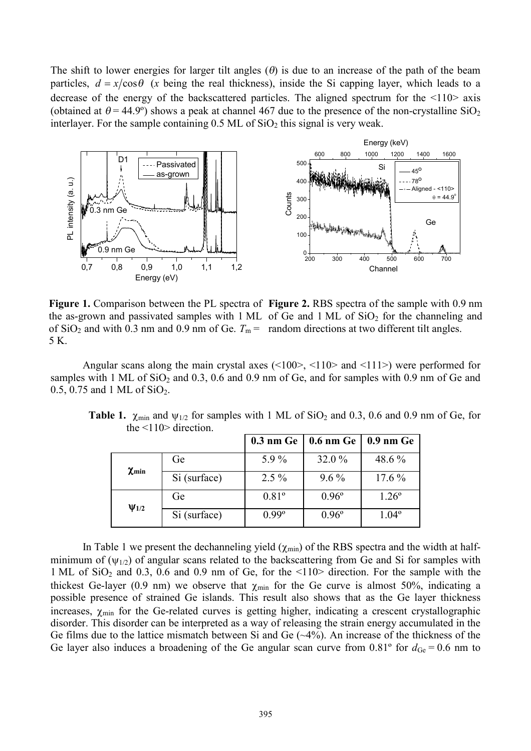The shift to lower energies for larger tilt angles  $(\theta)$  is due to an increase of the path of the beam particles,  $d = x/\cos\theta$  (*x* being the real thickness), inside the Si capping layer, which leads to a decrease of the energy of the backscattered particles. The aligned spectrum for the  $\langle 110 \rangle$  axis (obtained at  $\theta$  = 44.9°) shows a peak at channel 467 due to the presence of the non-crystalline SiO<sub>2</sub> interlayer. For the sample containing  $0.5$  ML of  $SiO<sub>2</sub>$  this signal is very weak.



**Figure 1.** Comparison between the PL spectra of **Figure 2.** RBS spectra of the sample with 0.9 nm the as-grown and passivated samples with  $1 \text{ ML}$  of Ge and  $1 \text{ ML}$  of  $SiO<sub>2</sub>$  for the channeling and of  $\text{SiO}_2$  and with 0.3 nm and 0.9 nm of Ge.  $T_m =$  random directions at two different tilt angles. 5 K.

Angular scans along the main crystal axes (<100>, <110> and <111>) were performed for samples with 1 ML of  $SiO<sub>2</sub>$  and 0.3, 0.6 and 0.9 nm of Ge, and for samples with 0.9 nm of Ge and 0.5, 0.75 and 1 ML of  $SiO<sub>2</sub>$ .

|                       |              |                | $0.3$ nm Ge   0.6 nm Ge   0.9 nm Ge |                |
|-----------------------|--------------|----------------|-------------------------------------|----------------|
| $\chi$ min            | Ge           | 5.9%           | 32.0%                               | 48.6 %         |
|                       | Si (surface) | $2.5\%$        | $9.6\%$                             | $17.6\%$       |
| $\Psi$ <sub>1/2</sub> | Ge           | $0.81^{\circ}$ | $0.96^{\circ}$                      | $1.26^{\circ}$ |
|                       | Si (surface) | $0.99^{\circ}$ | $0.96^{\circ}$                      | $1.04^{\circ}$ |

**Table 1.**  $\chi$ <sub>min</sub> and  $\psi$ <sub>1/2</sub> for samples with 1 ML of SiO<sub>2</sub> and 0.3, 0.6 and 0.9 nm of Ge, for the  $\leq$ 110 $>$  direction.

In Table 1 we present the dechanneling yield  $(\chi_{min})$  of the RBS spectra and the width at halfminimum of  $(\psi_{1/2})$  of angular scans related to the backscattering from Ge and Si for samples with 1 ML of  $SiO<sub>2</sub>$  and 0.3, 0.6 and 0.9 nm of Ge, for the  $\langle 110 \rangle$  direction. For the sample with the thickest Ge-layer (0.9 nm) we observe that  $\chi_{min}$  for the Ge curve is almost 50%, indicating a possible presence of strained Ge islands. This result also shows that as the Ge layer thickness increases,  $\chi_{min}$  for the Ge-related curves is getting higher, indicating a crescent crystallographic disorder. This disorder can be interpreted as a way of releasing the strain energy accumulated in the Ge films due to the lattice mismatch between Si and Ge (~4%). An increase of the thickness of the Ge layer also induces a broadening of the Ge angular scan curve from  $0.81^\circ$  for  $d_{Ge} = 0.6$  nm to